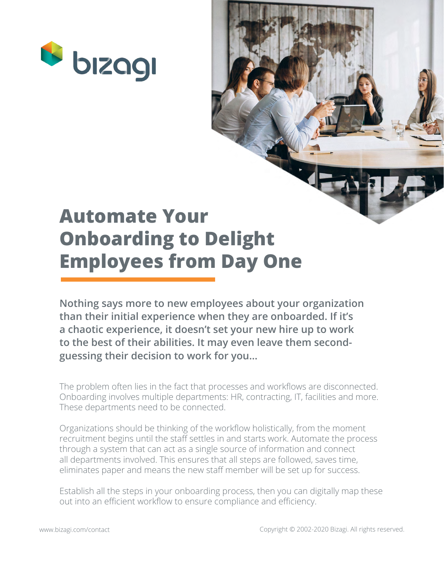

# **Automate Your Onboarding to Delight Employees from Day One**

**Nothing says more to new employees about your organization than their initial experience when they are onboarded. If it's a chaotic experience, it doesn't set your new hire up to work to the best of their abilities. It may even leave them secondguessing their decision to work for you…**

The problem often lies in the fact that processes and workflows are disconnected. Onboarding involves multiple departments: HR, contracting, IT, facilities and more. These departments need to be connected.

Organizations should be thinking of the workflow holistically, from the moment recruitment begins until the staff settles in and starts work. Automate the process through a system that can act as a single source of information and connect all departments involved. This ensures that all steps are followed, saves time, eliminates paper and means the new staff member will be set up for success.

Establish all the steps in your onboarding process, then you can digitally map these out into an efficient workflow to ensure compliance and efficiency.